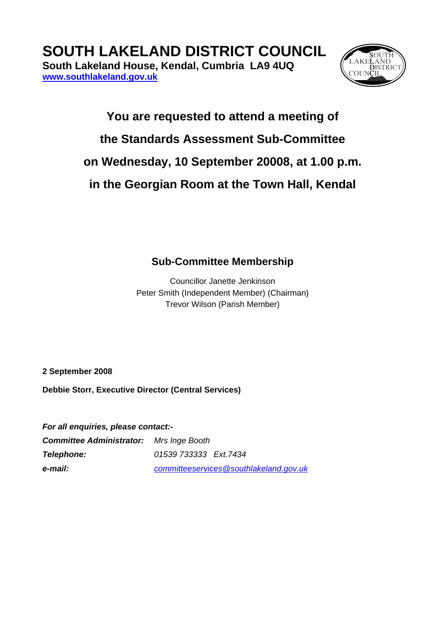**[www.southlakeland.gov.uk](http://www.southlakeland.gov.uk/)**



## **You are requested to attend a meeting of the Standards Assessment Sub-Committee on Wednesday, 10 September 20008, at 1.00 p.m. in the Georgian Room at the Town Hall, Kendal**

## **Sub-Committee Membership**

Councillor Janette Jenkinson Peter Smith (Independent Member) (Chairman) Trevor Wilson (Parish Member)

**2 September 2008** 

**Debbie Storr, Executive Director (Central Services)** 

*For all enquiries, please contact:-* 

| <b>Committee Administrator:</b> Mrs Inge Booth |                                        |
|------------------------------------------------|----------------------------------------|
| Telephone:                                     | 01539 733333 Ext. 7434                 |
| e-mail:                                        | committeeservices@southlakeland.gov.uk |